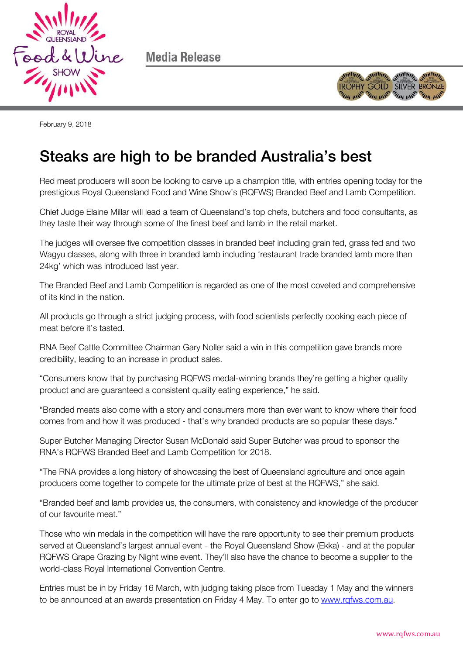

Media Release



February 9, 2018

## Steaks are high to be branded Australia's best

Red meat producers will soon be looking to carve up a champion title, with entries opening today for the prestigious Royal Queensland Food and Wine Show's (RQFWS) Branded Beef and Lamb Competition.

Chief Judge Elaine Millar will lead a team of Queensland's top chefs, butchers and food consultants, as they taste their way through some of the finest beef and lamb in the retail market.

The judges will oversee five competition classes in branded beef including grain fed, grass fed and two Wagyu classes, along with three in branded lamb including 'restaurant trade branded lamb more than 24kg' which was introduced last year.

The Branded Beef and Lamb Competition is regarded as one of the most coveted and comprehensive of its kind in the nation.

All products go through a strict judging process, with food scientists perfectly cooking each piece of meat before it's tasted.

RNA Beef Cattle Committee Chairman Gary Noller said a win in this competition gave brands more credibility, leading to an increase in product sales.

"Consumers know that by purchasing RQFWS medal-winning brands they're getting a higher quality product and are guaranteed a consistent quality eating experience," he said.

"Branded meats also come with a story and consumers more than ever want to know where their food comes from and how it was produced - that's why branded products are so popular these days."

Super Butcher Managing Director Susan McDonald said Super Butcher was proud to sponsor the RNA's RQFWS Branded Beef and Lamb Competition for 2018.

"The RNA provides a long history of showcasing the best of Queensland agriculture and once again producers come together to compete for the ultimate prize of best at the RQFWS," she said.

"Branded beef and lamb provides us, the consumers, with consistency and knowledge of the producer of our favourite meat."

Those who win medals in the competition will have the rare opportunity to see their premium products served at Queensland's largest annual event - the Royal Queensland Show (Ekka) - and at the popular RQFWS Grape Grazing by Night wine event. They'll also have the chance to become a supplier to the world-class Royal International Convention Centre.

Entries must be in by Friday 16 March, with judging taking place from Tuesday 1 May and the winners to be announced at an awards presentation on Friday 4 May. To enter go to www.rgfws.com.au.